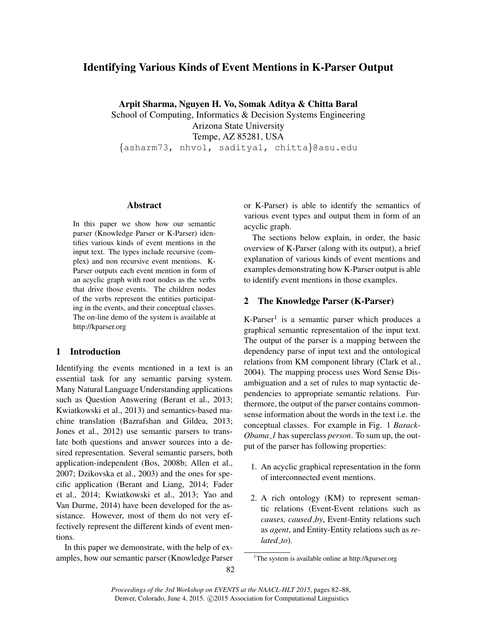# Identifying Various Kinds of Event Mentions in K-Parser Output

Arpit Sharma, Nguyen H. Vo, Somak Aditya & Chitta Baral

School of Computing, Informatics & Decision Systems Engineering Arizona State University Tempe, AZ 85281, USA {asharm73, nhvo1, saditya1, chitta}@asu.edu

### Abstract

In this paper we show how our semantic parser (Knowledge Parser or K-Parser) identifies various kinds of event mentions in the input text. The types include recursive (complex) and non recursive event mentions. K-Parser outputs each event mention in form of an acyclic graph with root nodes as the verbs that drive those events. The children nodes of the verbs represent the entities participating in the events, and their conceptual classes. The on-line demo of the system is available at http://kparser.org

# 1 Introduction

Identifying the events mentioned in a text is an essential task for any semantic parsing system. Many Natural Language Understanding applications such as Question Answering (Berant et al., 2013; Kwiatkowski et al., 2013) and semantics-based machine translation (Bazrafshan and Gildea, 2013; Jones et al., 2012) use semantic parsers to translate both questions and answer sources into a desired representation. Several semantic parsers, both application-independent (Bos, 2008b; Allen et al., 2007; Dzikovska et al., 2003) and the ones for specific application (Berant and Liang, 2014; Fader et al., 2014; Kwiatkowski et al., 2013; Yao and Van Durme, 2014) have been developed for the assistance. However, most of them do not very effectively represent the different kinds of event mentions.

In this paper we demonstrate, with the help of examples, how our semantic parser (Knowledge Parser or K-Parser) is able to identify the semantics of various event types and output them in form of an acyclic graph.

The sections below explain, in order, the basic overview of K-Parser (along with its output), a brief explanation of various kinds of event mentions and examples demonstrating how K-Parser output is able to identify event mentions in those examples.

# 2 The Knowledge Parser (K-Parser)

K-Parser<sup>1</sup> is a semantic parser which produces a graphical semantic representation of the input text. The output of the parser is a mapping between the dependency parse of input text and the ontological relations from KM component library (Clark et al., 2004). The mapping process uses Word Sense Disambiguation and a set of rules to map syntactic dependencies to appropriate semantic relations. Furthermore, the output of the parser contains commonsense information about the words in the text i.e. the conceptual classes. For example in Fig. 1 *Barack-Obama 1* has superclass *person*. To sum up, the output of the parser has following properties:

- 1. An acyclic graphical representation in the form of interconnected event mentions.
- 2. A rich ontology (KM) to represent semantic relations (Event-Event relations such as *causes, caused by*, Event-Entity relations such as *agent*, and Entity-Entity relations such as *related to*).

<sup>&</sup>lt;sup>1</sup>The system is available online at http://kparser.org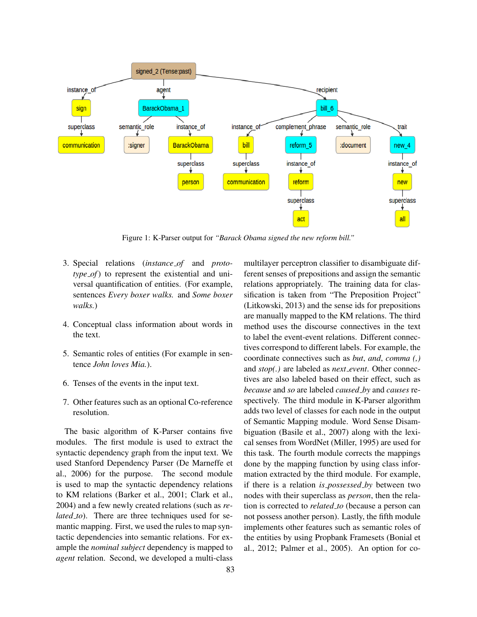

Figure 1: K-Parser output for *"Barack Obama signed the new reform bill."*

- 3. Special relations (*instance of* and *prototype of*) to represent the existential and universal quantification of entities. (For example, sentences *Every boxer walks.* and *Some boxer walks.*)
- 4. Conceptual class information about words in the text.
- 5. Semantic roles of entities (For example in sentence *John loves Mia.*).
- 6. Tenses of the events in the input text.
- 7. Other features such as an optional Co-reference resolution.

The basic algorithm of K-Parser contains five modules. The first module is used to extract the syntactic dependency graph from the input text. We used Stanford Dependency Parser (De Marneffe et al., 2006) for the purpose. The second module is used to map the syntactic dependency relations to KM relations (Barker et al., 2001; Clark et al., 2004) and a few newly created relations (such as *related\_to*). There are three techniques used for semantic mapping. First, we used the rules to map syntactic dependencies into semantic relations. For example the *nominal subject* dependency is mapped to *agent* relation. Second, we developed a multi-class

multilayer perceptron classifier to disambiguate different senses of prepositions and assign the semantic relations appropriately. The training data for classification is taken from "The Preposition Project" (Litkowski, 2013) and the sense ids for prepositions are manually mapped to the KM relations. The third method uses the discourse connectives in the text to label the event-event relations. Different connectives correspond to different labels. For example, the coordinate connectives such as *but*, *and*, *comma (,)* and *stop(.)* are labeled as *next event*. Other connectives are also labeled based on their effect, such as *because* and *so* are labeled *caused by* and *causes* respectively. The third module in K-Parser algorithm adds two level of classes for each node in the output of Semantic Mapping module. Word Sense Disambiguation (Basile et al., 2007) along with the lexical senses from WordNet (Miller, 1995) are used for this task. The fourth module corrects the mappings done by the mapping function by using class information extracted by the third module. For example, if there is a relation *is possessed by* between two nodes with their superclass as *person*, then the relation is corrected to *related to* (because a person can not possess another person). Lastly, the fifth module implements other features such as semantic roles of the entities by using Propbank Framesets (Bonial et al., 2012; Palmer et al., 2005). An option for co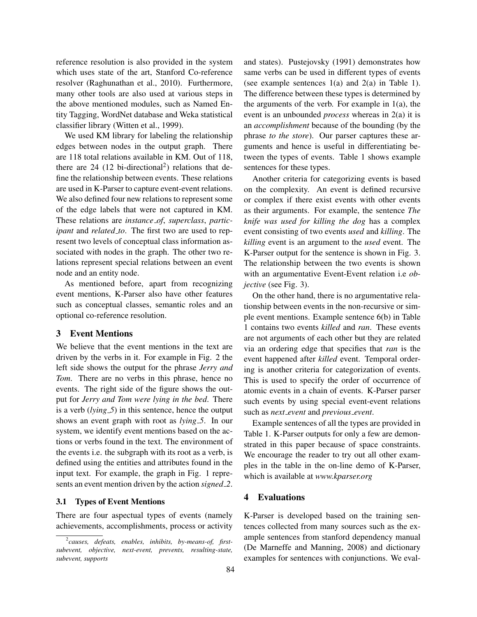reference resolution is also provided in the system which uses state of the art, Stanford Co-reference resolver (Raghunathan et al., 2010). Furthermore, many other tools are also used at various steps in the above mentioned modules, such as Named Entity Tagging, WordNet database and Weka statistical classifier library (Witten et al., 1999).

We used KM library for labeling the relationship edges between nodes in the output graph. There are 118 total relations available in KM. Out of 118, there are 24  $(12 \text{ bi-directional}^2)$  relations that define the relationship between events. These relations are used in K-Parser to capture event-event relations. We also defined four new relations to represent some of the edge labels that were not captured in KM. These relations are *instance of*, *superclass*, *participant* and *related to*. The first two are used to represent two levels of conceptual class information associated with nodes in the graph. The other two relations represent special relations between an event node and an entity node.

As mentioned before, apart from recognizing event mentions, K-Parser also have other features such as conceptual classes, semantic roles and an optional co-reference resolution.

### 3 Event Mentions

We believe that the event mentions in the text are driven by the verbs in it. For example in Fig. 2 the left side shows the output for the phrase *Jerry and Tom.* There are no verbs in this phrase, hence no events. The right side of the figure shows the output for *Jerry and Tom were lying in the bed*. There is a verb (*lying 5*) in this sentence, hence the output shows an event graph with root as *lying 5*. In our system, we identify event mentions based on the actions or verbs found in the text. The environment of the events i.e. the subgraph with its root as a verb, is defined using the entities and attributes found in the input text. For example, the graph in Fig. 1 represents an event mention driven by the action *signed 2*.

#### 3.1 Types of Event Mentions

There are four aspectual types of events (namely achievements, accomplishments, process or activity and states). Pustejovsky (1991) demonstrates how same verbs can be used in different types of events (see example sentences  $1(a)$  and  $2(a)$  in Table 1). The difference between these types is determined by the arguments of the verb. For example in  $1(a)$ , the event is an unbounded *process* whereas in 2(a) it is an *accomplishment* because of the bounding (by the phrase *to the store*). Our parser captures these arguments and hence is useful in differentiating between the types of events. Table 1 shows example sentences for these types.

Another criteria for categorizing events is based on the complexity. An event is defined recursive or complex if there exist events with other events as their arguments. For example, the sentence *The knife was used for killing the dog* has a complex event consisting of two events *used* and *killing*. The *killing* event is an argument to the *used* event. The K-Parser output for the sentence is shown in Fig. 3. The relationship between the two events is shown with an argumentative Event-Event relation i.e *objective* (see Fig. 3).

On the other hand, there is no argumentative relationship between events in the non-recursive or simple event mentions. Example sentence 6(b) in Table 1 contains two events *killed* and *ran*. These events are not arguments of each other but they are related via an ordering edge that specifies that *ran* is the event happened after *killed* event. Temporal ordering is another criteria for categorization of events. This is used to specify the order of occurrence of atomic events in a chain of events. K-Parser parser such events by using special event-event relations such as *next event* and *previous event*.

Example sentences of all the types are provided in Table 1. K-Parser outputs for only a few are demonstrated in this paper because of space constraints. We encourage the reader to try out all other examples in the table in the on-line demo of K-Parser, which is available at *www.kparser.org*

#### 4 Evaluations

K-Parser is developed based on the training sentences collected from many sources such as the example sentences from stanford dependency manual (De Marneffe and Manning, 2008) and dictionary examples for sentences with conjunctions. We eval-

<sup>2</sup> *causes, defeats, enables, inhibits, by-means-of, firstsubevent, objective, next-event, prevents, resulting-state, subevent, supports*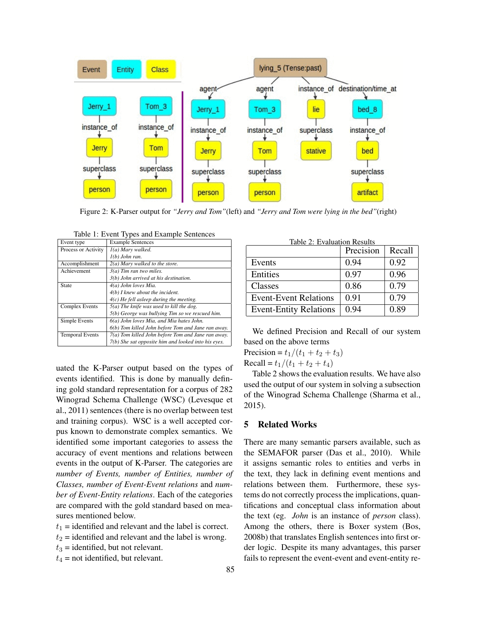

Figure 2: K-Parser output for *"Jerry and Tom"*(left) and *"Jerry and Tom were lying in the bed"*(right)

| Event type             | <b>Example Sentences</b>                                  |  |
|------------------------|-----------------------------------------------------------|--|
| Process or Activity    | I(a) Mary walked.                                         |  |
|                        | $l(b)$ John ran.                                          |  |
| Accomplishment         | $2(a)$ Mary walked to the store.                          |  |
| Achievement            | $3(a)$ Tim ran two miles.                                 |  |
|                        | 3(b) John arrived at his destination.                     |  |
| State                  | 4(a) John loves Mia.<br>$4(b)$ I knew about the incident. |  |
|                        |                                                           |  |
|                        | $4(c)$ He fell asleep during the meeting.                 |  |
| <b>Complex Events</b>  | $5(a)$ The knife was used to kill the dog.                |  |
|                        | 5(b) George was bullying Tim so we rescued him.           |  |
| Simple Events          | 6(a) John loves Mia, and Mia hates John.                  |  |
|                        | 6(b) Tom killed John before Tom and Jane ran away.        |  |
| <b>Temporal Events</b> | 7(a) Tom killed John before Tom and Jane ran away.        |  |
|                        | 7(b) She sat opposite him and looked into his eyes.       |  |

Table 1: Event Types and Example Sentences

uated the K-Parser output based on the types of events identified. This is done by manually defining gold standard representation for a corpus of 282 Winograd Schema Challenge (WSC) (Levesque et al., 2011) sentences (there is no overlap between test and training corpus). WSC is a well accepted corpus known to demonstrate complex semantics. We identified some important categories to assess the accuracy of event mentions and relations between events in the output of K-Parser. The categories are *number of Events, number of Entities, number of Classes, number of Event-Event relations* and *number of Event-Entity relations*. Each of the categories are compared with the gold standard based on measures mentioned below.

- $t_1$  = identified and relevant and the label is correct.
- $t_2$  = identified and relevant and the label is wrong.
- $t_3$  = identified, but not relevant.
- $t_4$  = not identified, but relevant.

| Table 2: Evaluation Results   | Precision | Recall |
|-------------------------------|-----------|--------|
| Events                        | 0.94      | 0.92   |
| Entities                      | 0.97      | 0.96   |
| Classes                       | 0.86      | 0.79   |
| <b>Event-Event Relations</b>  | 0.91      | 0.79   |
| <b>Event-Entity Relations</b> | 0.94      | 0.89   |

We defined Precision and Recall of our system based on the above terms

Precision =  $t_1/(t_1 + t_2 + t_3)$ Recall =  $t_1/(t_1 + t_2 + t_4)$ 

Table 2 shows the evaluation results. We have also used the output of our system in solving a subsection of the Winograd Schema Challenge (Sharma et al., 2015).

#### 5 Related Works

There are many semantic parsers available, such as the SEMAFOR parser (Das et al., 2010). While it assigns semantic roles to entities and verbs in the text, they lack in defining event mentions and relations between them. Furthermore, these systems do not correctly process the implications, quantifications and conceptual class information about the text (eg. *John* is an instance of *person* class). Among the others, there is Boxer system (Bos, 2008b) that translates English sentences into first order logic. Despite its many advantages, this parser fails to represent the event-event and event-entity re-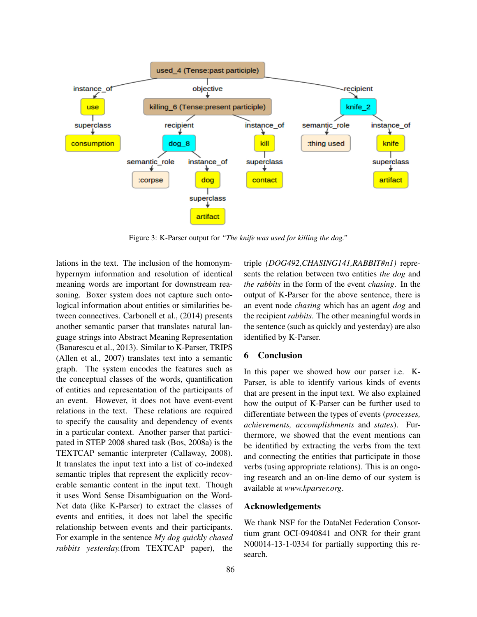

Figure 3: K-Parser output for *"The knife was used for killing the dog."*

lations in the text. The inclusion of the homonymhypernym information and resolution of identical meaning words are important for downstream reasoning. Boxer system does not capture such ontological information about entities or similarities between connectives. Carbonell et al., (2014) presents another semantic parser that translates natural language strings into Abstract Meaning Representation (Banarescu et al., 2013). Similar to K-Parser, TRIPS (Allen et al., 2007) translates text into a semantic graph. The system encodes the features such as the conceptual classes of the words, quantification of entities and representation of the participants of an event. However, it does not have event-event relations in the text. These relations are required to specify the causality and dependency of events in a particular context. Another parser that participated in STEP 2008 shared task (Bos, 2008a) is the TEXTCAP semantic interpreter (Callaway, 2008). It translates the input text into a list of co-indexed semantic triples that represent the explicitly recoverable semantic content in the input text. Though it uses Word Sense Disambiguation on the Word-Net data (like K-Parser) to extract the classes of events and entities, it does not label the specific relationship between events and their participants. For example in the sentence *My dog quickly chased rabbits yesterday.*(from TEXTCAP paper), the triple *(DOG492,CHASING141,RABBIT#n1)* represents the relation between two entities *the dog* and *the rabbits* in the form of the event *chasing*. In the output of K-Parser for the above sentence, there is an event node *chasing* which has an agent *dog* and the recipient *rabbits*. The other meaningful words in the sentence (such as quickly and yesterday) are also identified by K-Parser.

#### 6 Conclusion

In this paper we showed how our parser i.e. K-Parser, is able to identify various kinds of events that are present in the input text. We also explained how the output of K-Parser can be further used to differentiate between the types of events (*processes, achievements, accomplishments* and *states*). Furthermore, we showed that the event mentions can be identified by extracting the verbs from the text and connecting the entities that participate in those verbs (using appropriate relations). This is an ongoing research and an on-line demo of our system is available at *www.kparser.org*.

## Acknowledgements

We thank NSF for the DataNet Federation Consortium grant OCI-0940841 and ONR for their grant N00014-13-1-0334 for partially supporting this research.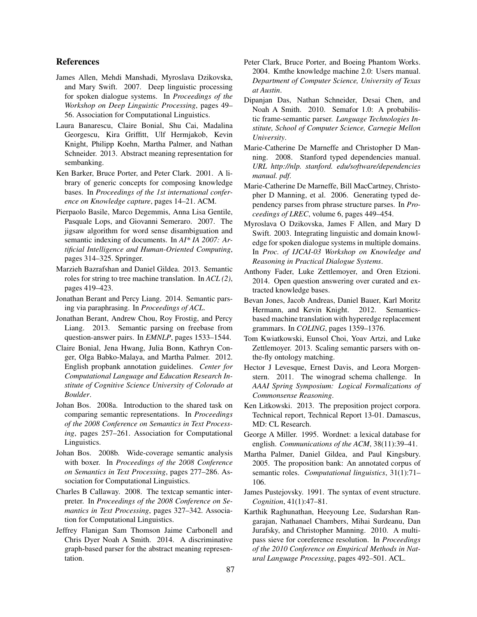#### References

- James Allen, Mehdi Manshadi, Myroslava Dzikovska, and Mary Swift. 2007. Deep linguistic processing for spoken dialogue systems. In *Proceedings of the Workshop on Deep Linguistic Processing*, pages 49– 56. Association for Computational Linguistics.
- Laura Banarescu, Claire Bonial, Shu Cai, Madalina Georgescu, Kira Griffitt, Ulf Hermjakob, Kevin Knight, Philipp Koehn, Martha Palmer, and Nathan Schneider. 2013. Abstract meaning representation for sembanking.
- Ken Barker, Bruce Porter, and Peter Clark. 2001. A library of generic concepts for composing knowledge bases. In *Proceedings of the 1st international conference on Knowledge capture*, pages 14–21. ACM.
- Pierpaolo Basile, Marco Degemmis, Anna Lisa Gentile, Pasquale Lops, and Giovanni Semeraro. 2007. The jigsaw algorithm for word sense disambiguation and semantic indexing of documents. In *AI\* IA 2007: Artificial Intelligence and Human-Oriented Computing*, pages 314–325. Springer.
- Marzieh Bazrafshan and Daniel Gildea. 2013. Semantic roles for string to tree machine translation. In *ACL (2)*, pages 419–423.
- Jonathan Berant and Percy Liang. 2014. Semantic parsing via paraphrasing. In *Proceedings of ACL*.
- Jonathan Berant, Andrew Chou, Roy Frostig, and Percy Liang. 2013. Semantic parsing on freebase from question-answer pairs. In *EMNLP*, pages 1533–1544.
- Claire Bonial, Jena Hwang, Julia Bonn, Kathryn Conger, Olga Babko-Malaya, and Martha Palmer. 2012. English propbank annotation guidelines. *Center for Computational Language and Education Research Institute of Cognitive Science University of Colorado at Boulder*.
- Johan Bos. 2008a. Introduction to the shared task on comparing semantic representations. In *Proceedings of the 2008 Conference on Semantics in Text Processing*, pages 257–261. Association for Computational Linguistics.
- Johan Bos. 2008b. Wide-coverage semantic analysis with boxer. In *Proceedings of the 2008 Conference on Semantics in Text Processing*, pages 277–286. Association for Computational Linguistics.
- Charles B Callaway. 2008. The textcap semantic interpreter. In *Proceedings of the 2008 Conference on Semantics in Text Processing*, pages 327–342. Association for Computational Linguistics.
- Jeffrey Flanigan Sam Thomson Jaime Carbonell and Chris Dyer Noah A Smith. 2014. A discriminative graph-based parser for the abstract meaning representation.
- Peter Clark, Bruce Porter, and Boeing Phantom Works. 2004. Kmthe knowledge machine 2.0: Users manual. *Department of Computer Science, University of Texas at Austin*.
- Dipanjan Das, Nathan Schneider, Desai Chen, and Noah A Smith. 2010. Semafor 1.0: A probabilistic frame-semantic parser. *Language Technologies Institute, School of Computer Science, Carnegie Mellon University*.
- Marie-Catherine De Marneffe and Christopher D Manning. 2008. Stanford typed dependencies manual. *URL http://nlp. stanford. edu/software/dependencies manual. pdf*.
- Marie-Catherine De Marneffe, Bill MacCartney, Christopher D Manning, et al. 2006. Generating typed dependency parses from phrase structure parses. In *Proceedings of LREC*, volume 6, pages 449–454.
- Myroslava O Dzikovska, James F Allen, and Mary D Swift. 2003. Integrating linguistic and domain knowledge for spoken dialogue systems in multiple domains. In *Proc. of IJCAI-03 Workshop on Knowledge and Reasoning in Practical Dialogue Systems*.
- Anthony Fader, Luke Zettlemoyer, and Oren Etzioni. 2014. Open question answering over curated and extracted knowledge bases.
- Bevan Jones, Jacob Andreas, Daniel Bauer, Karl Moritz Hermann, and Kevin Knight. 2012. Semanticsbased machine translation with hyperedge replacement grammars. In *COLING*, pages 1359–1376.
- Tom Kwiatkowski, Eunsol Choi, Yoav Artzi, and Luke Zettlemoyer. 2013. Scaling semantic parsers with onthe-fly ontology matching.
- Hector J Levesque, Ernest Davis, and Leora Morgenstern. 2011. The winograd schema challenge. In *AAAI Spring Symposium: Logical Formalizations of Commonsense Reasoning*.
- Ken Litkowski. 2013. The preposition project corpora. Technical report, Technical Report 13-01. Damascus, MD: CL Research.
- George A Miller. 1995. Wordnet: a lexical database for english. *Communications of the ACM*, 38(11):39–41.
- Martha Palmer, Daniel Gildea, and Paul Kingsbury. 2005. The proposition bank: An annotated corpus of semantic roles. *Computational linguistics*, 31(1):71– 106.
- James Pustejovsky. 1991. The syntax of event structure. *Cognition*, 41(1):47–81.
- Karthik Raghunathan, Heeyoung Lee, Sudarshan Rangarajan, Nathanael Chambers, Mihai Surdeanu, Dan Jurafsky, and Christopher Manning. 2010. A multipass sieve for coreference resolution. In *Proceedings of the 2010 Conference on Empirical Methods in Natural Language Processing*, pages 492–501. ACL.